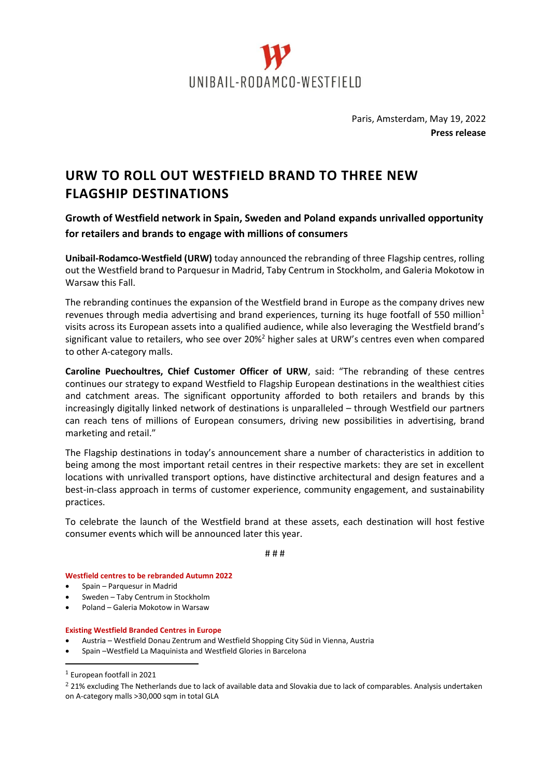

Paris, Amsterdam, May 19, 2022 **Press release**

## **URW TO ROLL OUT WESTFIELD BRAND TO THREE NEW FLAGSHIP DESTINATIONS**

**Growth of Westfield network in Spain, Sweden and Poland expands unrivalled opportunity for retailers and brands to engage with millions of consumers**

**Unibail-Rodamco-Westfield (URW)** today announced the rebranding of three Flagship centres, rolling out the Westfield brand to Parquesur in Madrid, Taby Centrum in Stockholm, and Galeria Mokotow in Warsaw this Fall.

The rebranding continues the expansion of the Westfield brand in Europe as the company drives new revenues through media advertising and brand experiences, turning its huge footfall of 550 million<sup>1</sup> visits across its European assets into a qualified audience, while also leveraging the Westfield brand's significant value to retailers, who see over 20%<sup>2</sup> higher sales at URW's centres even when compared to other A-category malls.

**Caroline Puechoultres, Chief Customer Officer of URW**, said: "The rebranding of these centres continues our strategy to expand Westfield to Flagship European destinations in the wealthiest cities and catchment areas. The significant opportunity afforded to both retailers and brands by this increasingly digitally linked network of destinations is unparalleled – through Westfield our partners can reach tens of millions of European consumers, driving new possibilities in advertising, brand marketing and retail."

The Flagship destinations in today's announcement share a number of characteristics in addition to being among the most important retail centres in their respective markets: they are set in excellent locations with unrivalled transport options, have distinctive architectural and design features and a best-in-class approach in terms of customer experience, community engagement, and sustainability practices.

To celebrate the launch of the Westfield brand at these assets, each destination will host festive consumer events which will be announced later this year.

# # #

**Westfield centres to be rebranded Autumn 2022**

- Spain Parquesur in Madrid
- Sweden Taby Centrum in Stockholm
- Poland Galeria Mokotow in Warsaw

## **Existing Westfield Branded Centres in Europe**

- Austria Westfield Donau Zentrum and Westfield Shopping City Süd in Vienna, Austria
- Spain –Westfield La Maquinista and Westfield Glories in Barcelona

<sup>2</sup> 21% excluding The Netherlands due to lack of available data and Slovakia due to lack of comparables. Analysis undertaken on A-category malls >30,000 sqm in total GLA

<sup>1</sup> European footfall in 2021